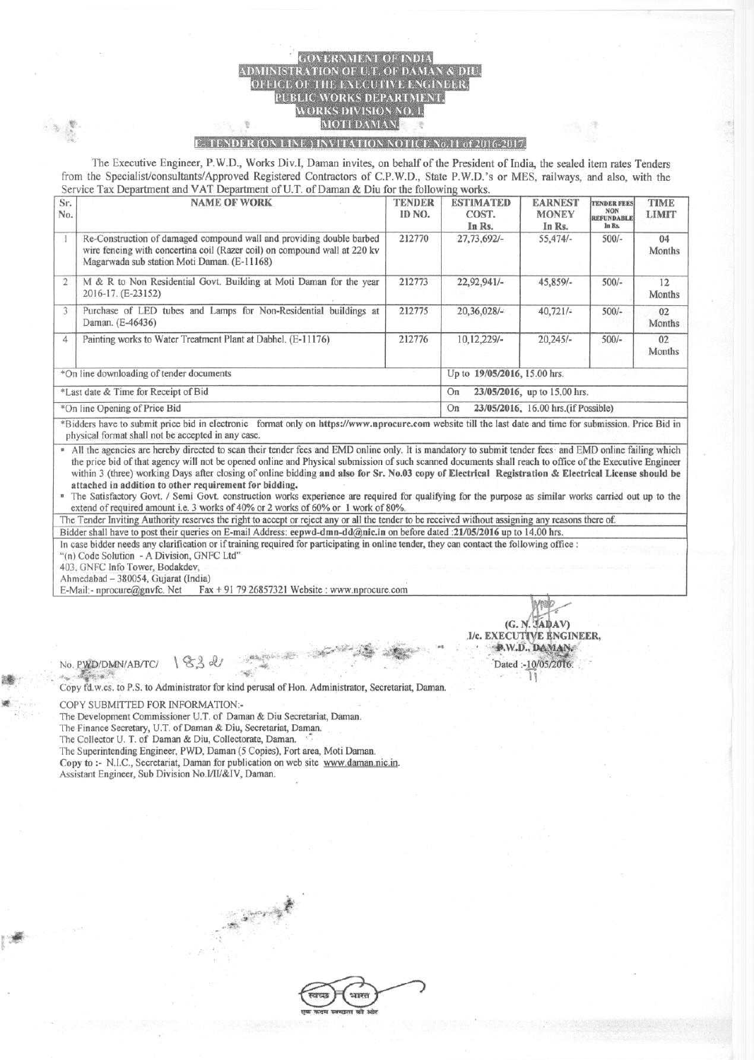## OF U.T. OF **EXECUTIVE** PUBLIC WORKS DEPARTMENT. WORKS DIVISION NO. 1. MOTI DAMAN

## F<sub>2</sub> TENDER (ON LINE.) INVITATION NOTICE No.11 of 2016-2017.

**The Executive Engineer**, **P.W.D., Works Div.I, Daman invites, on behalf of the President of India, the sealed item rates Tenders from the Specialist**/**consultants**/**Approved Registered Contractors** of C.P. **W.D., State P.W.D.'s or MES, railways, and also, with the Service Tax Department** and VAT **Department** of U.T. **of Daman & Diu for the following works.**

| Sr.<br>No.                               | <b>NAME OF WORK</b>                                                                                                                                                                              | <b>TENDER</b><br>ID NO. | <b>ESTIMATED</b><br>COST.<br>In Rs.       | <b>EARNEST</b><br><b>MONEY</b><br>In Rs. | <b>TENDER FEES</b><br><b>NON</b><br><b>REFUNDABLE</b><br>In Rs. | <b>TIME</b><br><b>LIMIT</b> |  |
|------------------------------------------|--------------------------------------------------------------------------------------------------------------------------------------------------------------------------------------------------|-------------------------|-------------------------------------------|------------------------------------------|-----------------------------------------------------------------|-----------------------------|--|
|                                          | Re-Construction of damaged compound wall and providing double barbed<br>wire fencing with concertina coil (Razer coil) on compound wall at 220 kv<br>Magarwada sub station Moti Daman. (E-11168) | 212770                  | $27,73,692/-$                             | $55,474/-$                               | $500/-$                                                         | 04<br>Months                |  |
| $\overline{2}$                           | M & R to Non Residential Govt. Building at Moti Daman for the year<br>2016-17. (E-23152)                                                                                                         | 212773                  | $22.92.941/-$                             | 45,859/-                                 | $500/-$                                                         | 12<br><b>Months</b>         |  |
| 3                                        | Purchase of LED tubes and Lamps for Non-Residential buildings at<br>Daman. (E-46436)                                                                                                             | 212775                  | $20,36,028/-$                             | $40,721/-$                               | $500/-$                                                         | 02<br>Months                |  |
| $\boldsymbol{A}$                         | Painting works to Water Treatment Plant at Dabhel. (E-11176)                                                                                                                                     | 212776                  | 10,12,229/-                               | $20,245/-$                               | $500/-$                                                         | 02<br>Months                |  |
| *On line downloading of tender documents |                                                                                                                                                                                                  |                         | Up to 19/05/2016, 15.00 hrs.              |                                          |                                                                 |                             |  |
| *Last date & Time for Receipt of Bid     |                                                                                                                                                                                                  |                         | 23/05/2016, up to 15.00 hrs.<br>On        |                                          |                                                                 |                             |  |
| *On line Opening of Price Bid            |                                                                                                                                                                                                  |                         | 23/05/2016, 16.00 hrs.(if Possible)<br>On |                                          |                                                                 |                             |  |

\*Bidders have to submit price bid in electronic format **only on littps**://**www.nprocure.com website** till the **last date and** time for **submission** . **Price Bid in** physical format shall not be accepted in any case.

All the agencies are hereby directed to scan their tender fees and EMD online only. It is mandatory to submit tender fees and EMD online failing which the price bid of that agency will not be opened online and Physical submission of such scanned documents shall reach to office of the Executive **Engineer** within 3 (three) working Days after closing of online bidding **and also for** Sr. No.**03 copy of Electrical Registration** & **Electrical License should be attached in addition to other requirement for bidding.**

• The Satisfactory Govt. / Semi Govt. construction works **experience are required** for qualifying for the purpose **as similar works carried out up to the** extend of required amount i.e. 3 works of 40% or 2 works of 60% or I work of 80%.

The Tender Inviting Authority reserves the right to accept or reject any or all the tender to be received without assigning any reasons there of.

Bidder shall have to post their queries on E-mail Address: **ee wd**- **dmn-dd** (**a;nic.in** on before dated :21/05/2016 up to 14.00 hrs.

In case bidder needs any clarification or if training required for **participating** in online tender, they can contact the following office : "(n) Code Solution - A Division, GNFC Ltd"

403. GNFC Info Tower, Bodakdev,

Ahmedabad - 380054, Gujarat (India)

E-Mail:- nprocure@gnvfc. Net Fax + 91 79 26857321 Website : www.nprocure.com

**IA Antalyz** (G. N. 'JADAV) .1/c. EXECUTIVE ENGINEER, • • ^1.1V.D., II^Nf^N: **s•** Dated :- 10/05/2016 11

**No. PWD**/**DMN/AB**/TC/ \ % %

Copy fd.w.cs. to P.S. to Administrator for kind perusal of Hon. Administrator, Secretariat, Daman.

 $\sim$ 

COPY SUBMITTED FOR INFORMATION:-

The Development Commissioner U.T. of Daman & Diu Secretariat, Daman.

The Finance Secretary, U.T. of Daman & Diu, Secretariat, Daman.

The Collector U. T. of Daman & Diu, Collectorate, Daman.

The Superintending Engineer, PWD, Daman (5 Copies), Fort area, Moti Daman.

Copy to :- N.I.C., Secretariat, Daman for publication on web site www.daman.nic.in.

Assistant Engineer, Sub Division No.I/IU&IV, Daman.